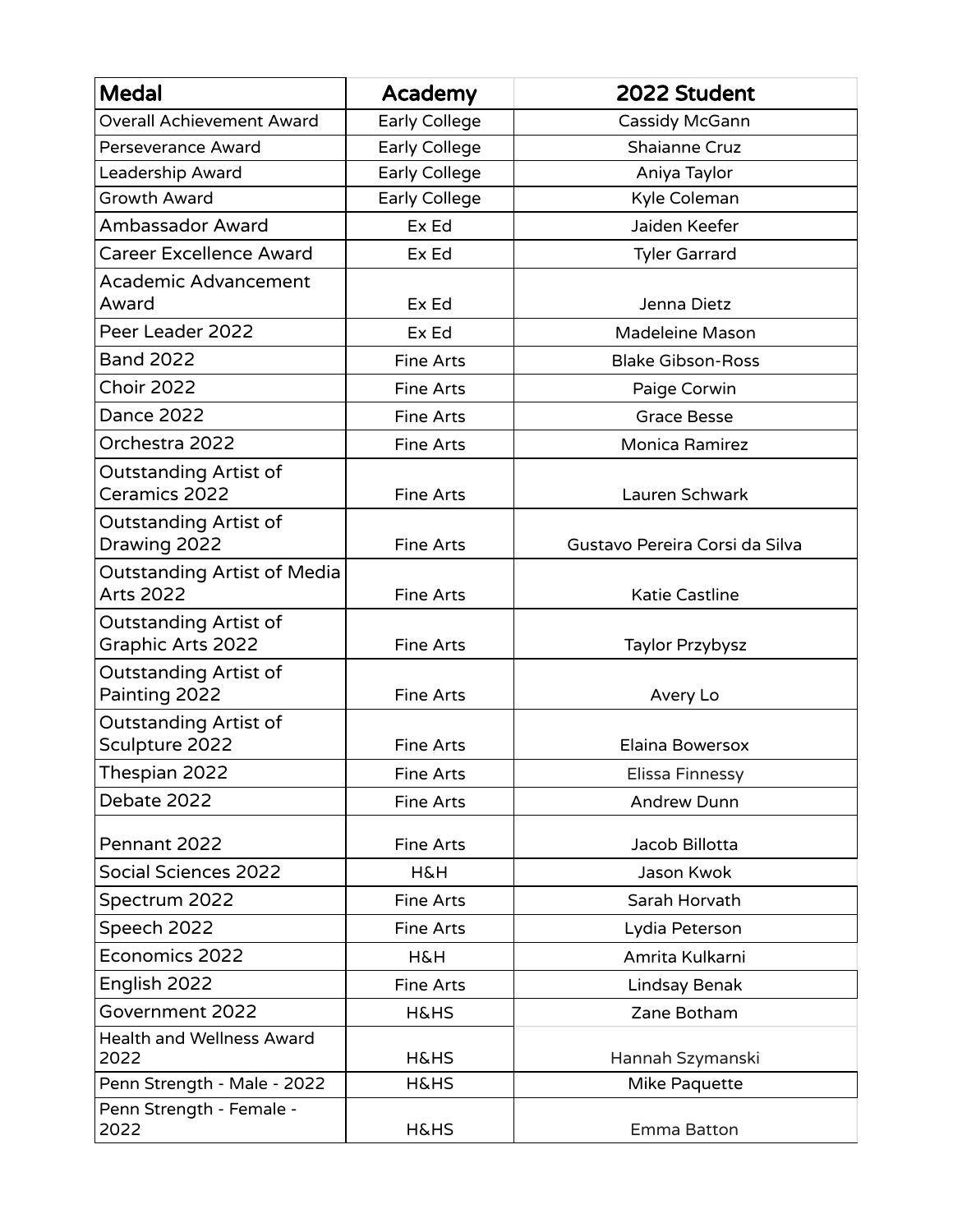| <b>Medal</b>                                             | Academy              | 2022 Student                   |
|----------------------------------------------------------|----------------------|--------------------------------|
| <b>Overall Achievement Award</b>                         | Early College        | Cassidy McGann                 |
| Perseverance Award                                       | Early College        | <b>Shaianne Cruz</b>           |
| Leadership Award                                         | <b>Early College</b> | Aniya Taylor                   |
| <b>Growth Award</b>                                      | Early College        | Kyle Coleman                   |
| Ambassador Award                                         | Ex Ed                | Jaiden Keefer                  |
| <b>Career Excellence Award</b>                           | Ex Ed                | <b>Tyler Garrard</b>           |
| <b>Academic Advancement</b>                              |                      |                                |
| Award                                                    | Ex Ed                | Jenna Dietz                    |
| Peer Leader 2022                                         | Ex Ed                | Madeleine Mason                |
| <b>Band 2022</b>                                         | <b>Fine Arts</b>     | <b>Blake Gibson-Ross</b>       |
| <b>Choir 2022</b>                                        | <b>Fine Arts</b>     | Paige Corwin                   |
| <b>Dance 2022</b>                                        | <b>Fine Arts</b>     | <b>Grace Besse</b>             |
| Orchestra 2022                                           | <b>Fine Arts</b>     | <b>Monica Ramirez</b>          |
| <b>Outstanding Artist of</b><br>Ceramics 2022            | <b>Fine Arts</b>     | Lauren Schwark                 |
| <b>Outstanding Artist of</b><br>Drawing 2022             | <b>Fine Arts</b>     | Gustavo Pereira Corsi da Silva |
| <b>Outstanding Artist of Media</b><br><b>Arts 2022</b>   | <b>Fine Arts</b>     | <b>Katie Castline</b>          |
| <b>Outstanding Artist of</b><br><b>Graphic Arts 2022</b> | Fine Arts            | Taylor Przybysz                |
| <b>Outstanding Artist of</b><br>Painting 2022            | <b>Fine Arts</b>     | Avery Lo                       |
| <b>Outstanding Artist of</b><br>Sculpture 2022           | <b>Fine Arts</b>     | Elaina Bowersox                |
| Thespian 2022                                            | Fine Arts            | Elissa Finnessy                |
| Debate 2022                                              | Fine Arts            | <b>Andrew Dunn</b>             |
| Pennant 2022                                             | <b>Fine Arts</b>     | Jacob Billotta                 |
| <b>Social Sciences 2022</b>                              | <b>H&amp;H</b>       | Jason Kwok                     |
| Spectrum 2022                                            | <b>Fine Arts</b>     | Sarah Horvath                  |
| Speech 2022                                              | <b>Fine Arts</b>     | Lydia Peterson                 |
| Economics 2022                                           | <b>H&amp;H</b>       | Amrita Kulkarni                |
| English 2022                                             | <b>Fine Arts</b>     | Lindsay Benak                  |
| Government 2022                                          | <b>H&amp;HS</b>      | Zane Botham                    |
| <b>Health and Wellness Award</b><br>2022                 | <b>H&amp;HS</b>      | Hannah Szymanski               |
| Penn Strength - Male - 2022                              | <b>H&amp;HS</b>      | Mike Paquette                  |
| Penn Strength - Female -<br>2022                         | <b>H&amp;HS</b>      | Emma Batton                    |